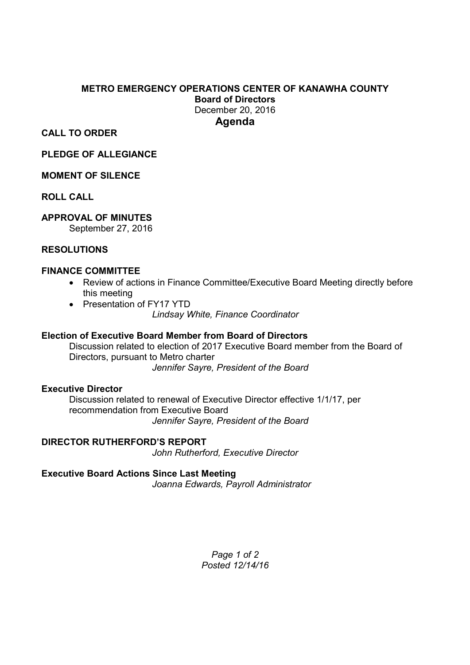## **METRO EMERGENCY OPERATIONS CENTER OF KANAWHA COUNTY Board of Directors**  December 20, 2016 **Agenda**

**CALL TO ORDER** 

**PLEDGE OF ALLEGIANCE** 

### **MOMENT OF SILENCE**

**ROLL CALL** 

## **APPROVAL OF MINUTES**

September 27, 2016

### **RESOLUTIONS**

### **FINANCE COMMITTEE**

- Review of actions in Finance Committee/Executive Board Meeting directly before this meeting
- Presentation of FY17 YTD *Lindsay White, Finance Coordinator*

### **Election of Executive Board Member from Board of Directors**

Discussion related to election of 2017 Executive Board member from the Board of Directors, pursuant to Metro charter *Jennifer Sayre, President of the Board* 

### **Executive Director**

Discussion related to renewal of Executive Director effective 1/1/17, per recommendation from Executive Board *Jennifer Sayre, President of the Board* 

**DIRECTOR RUTHERFORD'S REPORT** *John Rutherford, Executive Director* 

#### **Executive Board Actions Since Last Meeting** *Joanna Edwards, Payroll Administrator*

*Page 1 of 2 Posted 12/14/16*